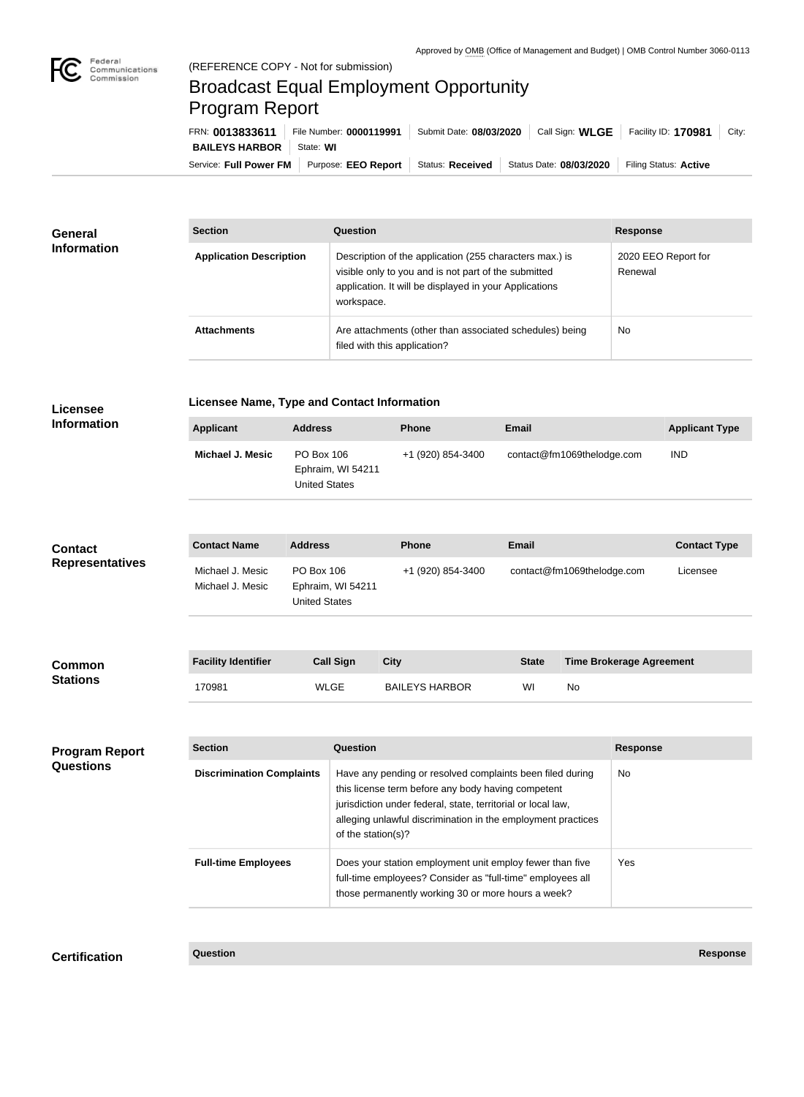

## Broadcast Equal Employment Opportunity Program Report

| FRN: 0013833611                   | File Number: 0000119991    |                  | Submit Date: 08/03/2020   Call Sign: WLGE | Facility ID: 170981   | City: |
|-----------------------------------|----------------------------|------------------|-------------------------------------------|-----------------------|-------|
| <b>BAILEYS HARBOR</b>   State: WI |                            |                  |                                           |                       |       |
| Service: Full Power FM            | Purpose: <b>EEO Report</b> | Status: Received | Status Date: 08/03/2020                   | Filing Status: Active |       |

| General<br><b>Information</b> | <b>Section</b>                 | <b>Question</b>                                                                                                                                                                         | <b>Response</b>                |  |
|-------------------------------|--------------------------------|-----------------------------------------------------------------------------------------------------------------------------------------------------------------------------------------|--------------------------------|--|
|                               | <b>Application Description</b> | Description of the application (255 characters max.) is<br>visible only to you and is not part of the submitted<br>application. It will be displayed in your Applications<br>workspace. | 2020 EEO Report for<br>Renewal |  |
|                               | <b>Attachments</b>             | Are attachments (other than associated schedules) being<br>filed with this application?                                                                                                 | No                             |  |

| <b>Licensee</b>                           | Licensee Name, Type and Contact Information            |                                    |                   |                       |                                                                                                                                                                                                                                                 |              |                            |                                 |                       |
|-------------------------------------------|--------------------------------------------------------|------------------------------------|-------------------|-----------------------|-------------------------------------------------------------------------------------------------------------------------------------------------------------------------------------------------------------------------------------------------|--------------|----------------------------|---------------------------------|-----------------------|
| <b>Information</b>                        | <b>Applicant</b>                                       | <b>Address</b>                     |                   | Phone                 |                                                                                                                                                                                                                                                 | <b>Email</b> |                            |                                 | <b>Applicant Type</b> |
|                                           | Michael J. Mesic                                       | PO Box 106<br><b>United States</b> | Ephraim, WI 54211 |                       | +1 (920) 854-3400                                                                                                                                                                                                                               |              | contact@fm1069thelodge.com |                                 | <b>IND</b>            |
| <b>Contact</b><br><b>Representatives</b>  | <b>Contact Name</b>                                    | <b>Address</b>                     |                   | <b>Phone</b>          |                                                                                                                                                                                                                                                 | <b>Email</b> |                            |                                 | <b>Contact Type</b>   |
|                                           | Michael J. Mesic<br>Michael J. Mesic                   | PO Box 106<br><b>United States</b> | Ephraim, WI 54211 |                       | +1 (920) 854-3400                                                                                                                                                                                                                               |              | contact@fm1069thelodge.com |                                 | Licensee              |
|                                           |                                                        |                                    |                   |                       |                                                                                                                                                                                                                                                 |              |                            |                                 |                       |
| <b>Common</b><br><b>Stations</b>          | <b>Facility Identifier</b>                             |                                    | <b>Call Sign</b>  | <b>City</b>           |                                                                                                                                                                                                                                                 | <b>State</b> |                            | <b>Time Brokerage Agreement</b> |                       |
|                                           | 170981                                                 |                                    | <b>WLGE</b>       | <b>BAILEYS HARBOR</b> |                                                                                                                                                                                                                                                 | WI           | No                         |                                 |                       |
|                                           |                                                        |                                    |                   |                       |                                                                                                                                                                                                                                                 |              |                            |                                 |                       |
| <b>Program Report</b><br><b>Questions</b> | <b>Section</b>                                         |                                    | Question          |                       |                                                                                                                                                                                                                                                 |              |                            | <b>Response</b>                 |                       |
|                                           | <b>Discrimination Complaints</b><br>of the station(s)? |                                    |                   |                       | Have any pending or resolved complaints been filed during<br>this license term before any body having competent<br>jurisdiction under federal, state, territorial or local law,<br>alleging unlawful discrimination in the employment practices |              |                            | No                              |                       |
|                                           | <b>Full-time Employees</b>                             |                                    |                   |                       | Does your station employment unit employ fewer than five<br>full-time employees? Consider as "full-time" employees all<br>those permanently working 30 or more hours a week?                                                                    |              |                            | Yes                             |                       |
|                                           |                                                        |                                    |                   |                       |                                                                                                                                                                                                                                                 |              |                            |                                 |                       |

**Certification Question Response**